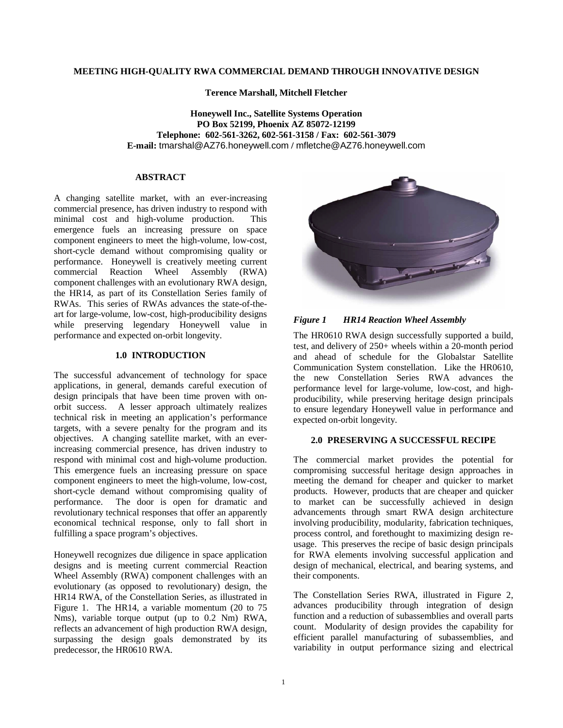# **MEETING HIGH-QUALITY RWA COMMERCIAL DEMAND THROUGH INNOVATIVE DESIGN**

**Terence Marshall, Mitchell Fletcher**

**Honeywell Inc., Satellite Systems Operation PO Box 52199, Phoenix AZ 85072-12199 Telephone: 602-561-3262, 602-561-3158 / Fax: 602-561-3079 E-mail:** tmarshal@AZ76.honeywell.com **/** mfletche@AZ76.honeywell.com

# **ABSTRACT**

A changing satellite market, with an ever-increasing commercial presence, has driven industry to respond with minimal cost and high-volume production. This emergence fuels an increasing pressure on space component engineers to meet the high-volume, low-cost, short-cycle demand without compromising quality or performance. Honeywell is creatively meeting current commercial Reaction Wheel Assembly (RWA) component challenges with an evolutionary RWA design, the HR14, as part of its Constellation Series family of RWAs. This series of RWAs advances the state-of-theart for large-volume, low-cost, high-producibility designs while preserving legendary Honeywell value in performance and expected on-orbit longevity.

# **1.0 INTRODUCTION**

The successful advancement of technology for space applications, in general, demands careful execution of design principals that have been time proven with onorbit success. A lesser approach ultimately realizes technical risk in meeting an application's performance targets, with a severe penalty for the program and its objectives. A changing satellite market, with an everincreasing commercial presence, has driven industry to respond with minimal cost and high-volume production. This emergence fuels an increasing pressure on space component engineers to meet the high-volume, low-cost, short-cycle demand without compromising quality of performance. The door is open for dramatic and revolutionary technical responses that offer an apparently economical technical response, only to fall short in fulfilling a space program's objectives.

Honeywell recognizes due diligence in space application designs and is meeting current commercial Reaction Wheel Assembly (RWA) component challenges with an evolutionary (as opposed to revolutionary) design, the HR14 RWA, of the Constellation Series, as illustrated in Figure 1. The HR14, a variable momentum (20 to 75 Nms), variable torque output (up to 0.2 Nm) RWA, reflects an advancement of high production RWA design, surpassing the design goals demonstrated by its predecessor, the HR0610 RWA.



*Figure 1 HR14 Reaction Wheel Assembly*

The HR0610 RWA design successfully supported a build, test, and delivery of 250+ wheels within a 20-month period and ahead of schedule for the Globalstar Satellite Communication System constellation. Like the HR0610, the new Constellation Series RWA advances the performance level for large-volume, low-cost, and highproducibility, while preserving heritage design principals to ensure legendary Honeywell value in performance and expected on-orbit longevity.

# **2.0 PRESERVING A SUCCESSFUL RECIPE**

The commercial market provides the potential for compromising successful heritage design approaches in meeting the demand for cheaper and quicker to market products. However, products that are cheaper and quicker to market can be successfully achieved in design advancements through smart RWA design architecture involving producibility, modularity, fabrication techniques, process control, and forethought to maximizing design reusage. This preserves the recipe of basic design principals for RWA elements involving successful application and design of mechanical, electrical, and bearing systems, and their components.

The Constellation Series RWA, illustrated in Figure 2, advances producibility through integration of design function and a reduction of subassemblies and overall parts count. Modularity of design provides the capability for efficient parallel manufacturing of subassemblies, and variability in output performance sizing and electrical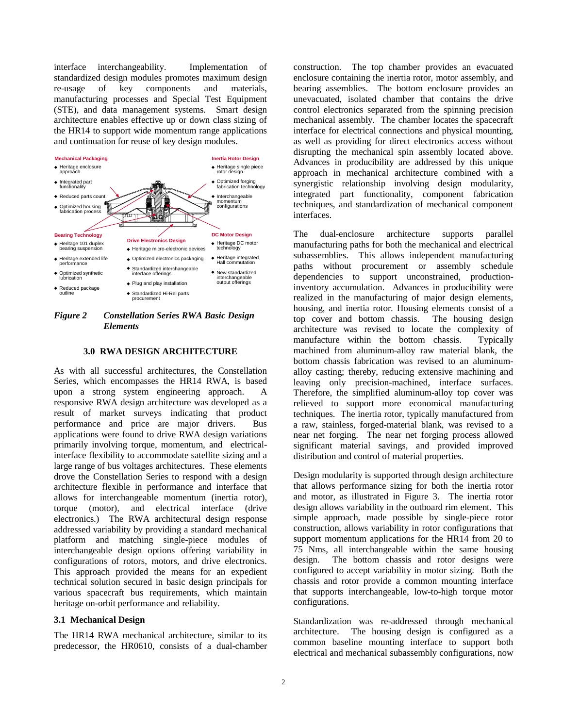interface interchangeability. Implementation of standardized design modules promotes maximum design re-usage of key components and materials, manufacturing processes and Special Test Equipment (STE), and data management systems. Smart design architecture enables effective up or down class sizing of the HR14 to support wide momentum range applications and continuation for reuse of key design modules.



*Figure 2 Constellation Series RWA Basic Design Elements*

# **3.0 RWA DESIGN ARCHITECTURE**

As with all successful architectures, the Constellation Series, which encompasses the HR14 RWA, is based upon a strong system engineering approach. A responsive RWA design architecture was developed as a result of market surveys indicating that product performance and price are major drivers. Bus applications were found to drive RWA design variations primarily involving torque, momentum, and electricalinterface flexibility to accommodate satellite sizing and a large range of bus voltages architectures. These elements drove the Constellation Series to respond with a design architecture flexible in performance and interface that allows for interchangeable momentum (inertia rotor), torque (motor), and electrical interface (drive electronics.) The RWA architectural design response addressed variability by providing a standard mechanical platform and matching single-piece modules of interchangeable design options offering variability in configurations of rotors, motors, and drive electronics. This approach provided the means for an expedient technical solution secured in basic design principals for various spacecraft bus requirements, which maintain heritage on-orbit performance and reliability.

#### **3.1 Mechanical Design**

The HR14 RWA mechanical architecture, similar to its predecessor, the HR0610, consists of a dual-chamber construction. The top chamber provides an evacuated enclosure containing the inertia rotor, motor assembly, and bearing assemblies. The bottom enclosure provides an unevacuated, isolated chamber that contains the drive control electronics separated from the spinning precision mechanical assembly. The chamber locates the spacecraft interface for electrical connections and physical mounting, as well as providing for direct electronics access without disrupting the mechanical spin assembly located above. Advances in producibility are addressed by this unique approach in mechanical architecture combined with a synergistic relationship involving design modularity, integrated part functionality, component fabrication techniques, and standardization of mechanical component interfaces.

The dual-enclosure architecture supports parallel manufacturing paths for both the mechanical and electrical subassemblies. This allows independent manufacturing paths without procurement or assembly schedule dependencies to support unconstrained, productioninventory accumulation. Advances in producibility were realized in the manufacturing of major design elements, housing, and inertia rotor. Housing elements consist of a top cover and bottom chassis. The housing design architecture was revised to locate the complexity of manufacture within the bottom chassis. Typically machined from aluminum-alloy raw material blank, the bottom chassis fabrication was revised to an aluminumalloy casting; thereby, reducing extensive machining and leaving only precision-machined, interface surfaces. Therefore, the simplified aluminum-alloy top cover was relieved to support more economical manufacturing techniques. The inertia rotor, typically manufactured from a raw, stainless, forged-material blank, was revised to a near net forging. The near net forging process allowed significant material savings, and provided improved distribution and control of material properties.

Design modularity is supported through design architecture that allows performance sizing for both the inertia rotor and motor, as illustrated in Figure 3. The inertia rotor design allows variability in the outboard rim element. This simple approach, made possible by single-piece rotor construction, allows variability in rotor configurations that support momentum applications for the HR14 from 20 to 75 Nms, all interchangeable within the same housing design. The bottom chassis and rotor designs were configured to accept variability in motor sizing. Both the chassis and rotor provide a common mounting interface that supports interchangeable, low-to-high torque motor configurations.

Standardization was re-addressed through mechanical architecture. The housing design is configured as a common baseline mounting interface to support both electrical and mechanical subassembly configurations, now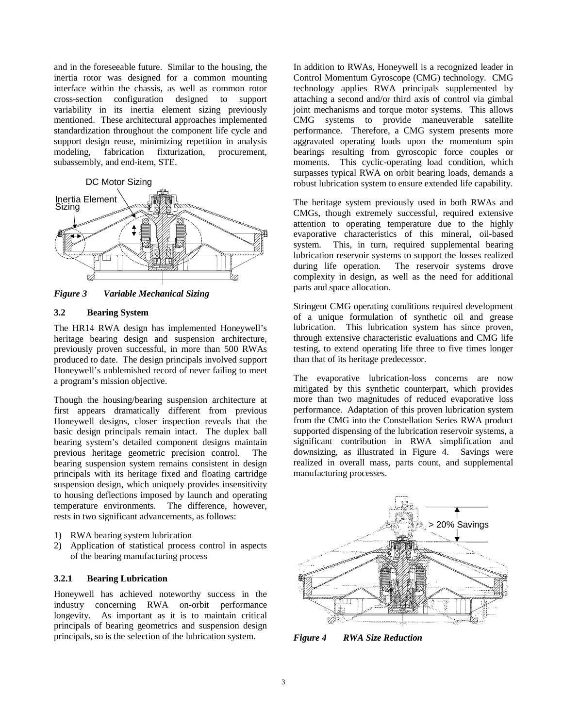and in the foreseeable future. Similar to the housing, the inertia rotor was designed for a common mounting interface within the chassis, as well as common rotor cross-section configuration designed to support variability in its inertia element sizing previously mentioned. These architectural approaches implemented standardization throughout the component life cycle and support design reuse, minimizing repetition in analysis modeling, fabrication fixturization, procurement, modeling, fabrication fixturization, procurement, subassembly, and end-item, STE.



*Figure 3 Variable Mechanical Sizing*

# **3.2 Bearing System**

The HR14 RWA design has implemented Honeywell's heritage bearing design and suspension architecture, previously proven successful, in more than 500 RWAs produced to date. The design principals involved support Honeywell's unblemished record of never failing to meet a program's mission objective.

Though the housing/bearing suspension architecture at first appears dramatically different from previous Honeywell designs, closer inspection reveals that the basic design principals remain intact. The duplex ball bearing system's detailed component designs maintain previous heritage geometric precision control. The bearing suspension system remains consistent in design principals with its heritage fixed and floating cartridge suspension design, which uniquely provides insensitivity to housing deflections imposed by launch and operating temperature environments. The difference, however, rests in two significant advancements, as follows:

- 1) RWA bearing system lubrication
- 2) Application of statistical process control in aspects of the bearing manufacturing process

# **3.2.1 Bearing Lubrication**

Honeywell has achieved noteworthy success in the industry concerning RWA on-orbit performance longevity. As important as it is to maintain critical principals of bearing geometrics and suspension design principals, so is the selection of the lubrication system.

In addition to RWAs, Honeywell is a recognized leader in Control Momentum Gyroscope (CMG) technology. CMG technology applies RWA principals supplemented by attaching a second and/or third axis of control via gimbal joint mechanisms and torque motor systems. This allows CMG systems to provide maneuverable satellite performance. Therefore, a CMG system presents more aggravated operating loads upon the momentum spin bearings resulting from gyroscopic force couples or moments. This cyclic-operating load condition, which surpasses typical RWA on orbit bearing loads, demands a robust lubrication system to ensure extended life capability.

The heritage system previously used in both RWAs and CMGs, though extremely successful, required extensive attention to operating temperature due to the highly evaporative characteristics of this mineral, oil-based system. This, in turn, required supplemental bearing lubrication reservoir systems to support the losses realized during life operation. The reservoir systems drove complexity in design, as well as the need for additional parts and space allocation.

Stringent CMG operating conditions required development of a unique formulation of synthetic oil and grease lubrication. This lubrication system has since proven, through extensive characteristic evaluations and CMG life testing, to extend operating life three to five times longer than that of its heritage predecessor.

The evaporative lubrication-loss concerns are now mitigated by this synthetic counterpart, which provides more than two magnitudes of reduced evaporative loss performance. Adaptation of this proven lubrication system from the CMG into the Constellation Series RWA product supported dispensing of the lubrication reservoir systems, a significant contribution in RWA simplification and downsizing, as illustrated in Figure 4. Savings were realized in overall mass, parts count, and supplemental manufacturing processes.



*Figure 4 RWA Size Reduction*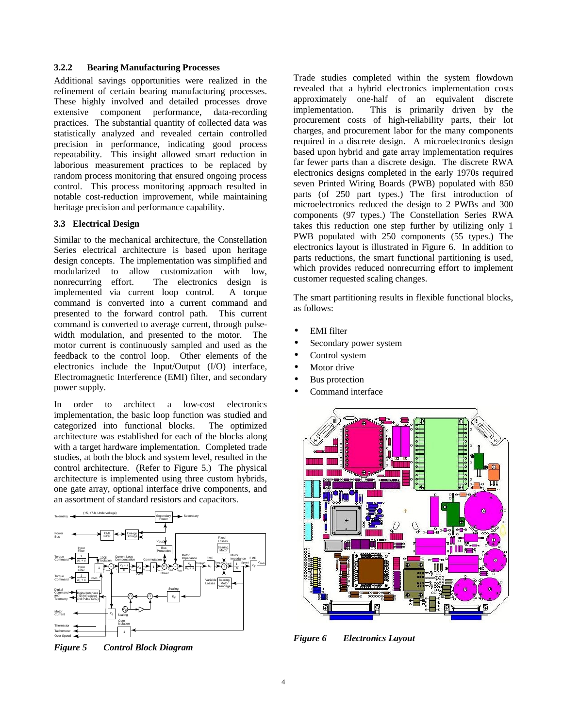# **3.2.2 Bearing Manufacturing Processes**

Additional savings opportunities were realized in the refinement of certain bearing manufacturing processes. These highly involved and detailed processes drove extensive component performance, data-recording practices. The substantial quantity of collected data was statistically analyzed and revealed certain controlled precision in performance, indicating good process repeatability. This insight allowed smart reduction in laborious measurement practices to be replaced by random process monitoring that ensured ongoing process control. This process monitoring approach resulted in notable cost-reduction improvement, while maintaining heritage precision and performance capability.

# **3.3 Electrical Design**

Similar to the mechanical architecture, the Constellation Series electrical architecture is based upon heritage design concepts. The implementation was simplified and modularized to allow customization with low, nonrecurring effort. The electronics design is implemented via current loop control. A torque command is converted into a current command and presented to the forward control path. This current command is converted to average current, through pulsewidth modulation, and presented to the motor. The motor current is continuously sampled and used as the feedback to the control loop. Other elements of the electronics include the Input/Output (I/O) interface, Electromagnetic Interference (EMI) filter, and secondary power supply.

In order to architect a low-cost electronics implementation, the basic loop function was studied and categorized into functional blocks. The optimized architecture was established for each of the blocks along with a target hardware implementation. Completed trade studies, at both the block and system level, resulted in the control architecture. (Refer to Figure 5.) The physical architecture is implemented using three custom hybrids, one gate array, optional interface drive components, and an assortment of standard resistors and capacitors.



*Figure 5 Control Block Diagram*

Trade studies completed within the system flowdown revealed that a hybrid electronics implementation costs approximately one-half of an equivalent discrete implementation. This is primarily driven by the procurement costs of high-reliability parts, their lot charges, and procurement labor for the many components required in a discrete design. A microelectronics design based upon hybrid and gate array implementation requires far fewer parts than a discrete design. The discrete RWA electronics designs completed in the early 1970s required seven Printed Wiring Boards (PWB) populated with 850 parts (of 250 part types.) The first introduction of microelectronics reduced the design to 2 PWBs and 300 components (97 types.) The Constellation Series RWA takes this reduction one step further by utilizing only 1 PWB populated with 250 components (55 types.) The electronics layout is illustrated in Figure 6. In addition to parts reductions, the smart functional partitioning is used, which provides reduced nonrecurring effort to implement customer requested scaling changes.

The smart partitioning results in flexible functional blocks, as follows:

- **EMI** filter
- Secondary power system
- Control system
- Motor drive
- Bus protection
- Command interface



*Figure 6 Electronics Layout*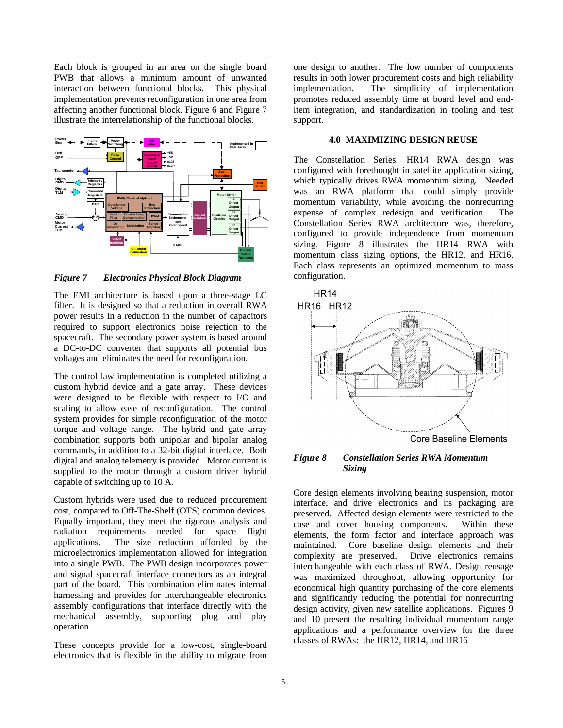Each block is grouped in an area on the single board PWB that allows a minimum amount of unwanted interaction between functional blocks. This physical implementation prevents reconfiguration in one area from affecting another functional block. Figure 6 and Figure 7 illustrate the interrelationship of the functional blocks.



*Figure 7 Electronics Physical Block Diagram*

The EMI architecture is based upon a three-stage LC filter. It is designed so that a reduction in overall RWA power results in a reduction in the number of capacitors required to support electronics noise rejection to the spacecraft. The secondary power system is based around a DC-to-DC converter that supports all potential bus voltages and eliminates the need for reconfiguration.

The control law implementation is completed utilizing a custom hybrid device and a gate array. These devices were designed to be flexible with respect to I/O and scaling to allow ease of reconfiguration. The control system provides for simple reconfiguration of the motor torque and voltage range. The hybrid and gate array combination supports both unipolar and bipolar analog commands, in addition to a 32-bit digital interface. Both digital and analog telemetry is provided. Motor current is supplied to the motor through a custom driver hybrid capable of switching up to 10 A.

Custom hybrids were used due to reduced procurement cost, compared to Off-The-Shelf (OTS) common devices. Equally important, they meet the rigorous analysis and radiation requirements needed for space flight applications. The size reduction afforded by the microelectronics implementation allowed for integration into a single PWB. The PWB design incorporates power and signal spacecraft interface connectors as an integral part of the board. This combination eliminates internal harnessing and provides for interchangeable electronics assembly configurations that interface directly with the mechanical assembly, supporting plug and play operation.

These concepts provide for a low-cost, single-board electronics that is flexible in the ability to migrate from

one design to another. The low number of components results in both lower procurement costs and high reliability implementation. The simplicity of implementation promotes reduced assembly time at board level and enditem integration, and standardization in tooling and test support.

#### **4.0 MAXIMIZING DESIGN REUSE**

The Constellation Series, HR14 RWA design was configured with forethought in satellite application sizing, which typically drives RWA momentum sizing. Needed was an RWA platform that could simply provide momentum variability, while avoiding the nonrecurring expense of complex redesign and verification. The Constellation Series RWA architecture was, therefore, configured to provide independence from momentum sizing. Figure 8 illustrates the HR14 RWA with momentum class sizing options, the HR12, and HR16. Each class represents an optimized momentum to mass configuration.



# *Figure 8 Constellation Series RWA Momentum Sizing*

Core design elements involving bearing suspension, motor interface, and drive electronics and its packaging are preserved. Affected design elements were restricted to the case and cover housing components. Within these elements, the form factor and interface approach was maintained. Core baseline design elements and their complexity are preserved. Drive electronics remains interchangeable with each class of RWA. Design reusage was maximized throughout, allowing opportunity for economical high quantity purchasing of the core elements and significantly reducing the potential for nonrecurring design activity, given new satellite applications. Figures 9 and 10 present the resulting individual momentum range applications and a performance overview for the three classes of RWAs: the HR12, HR14, and HR16